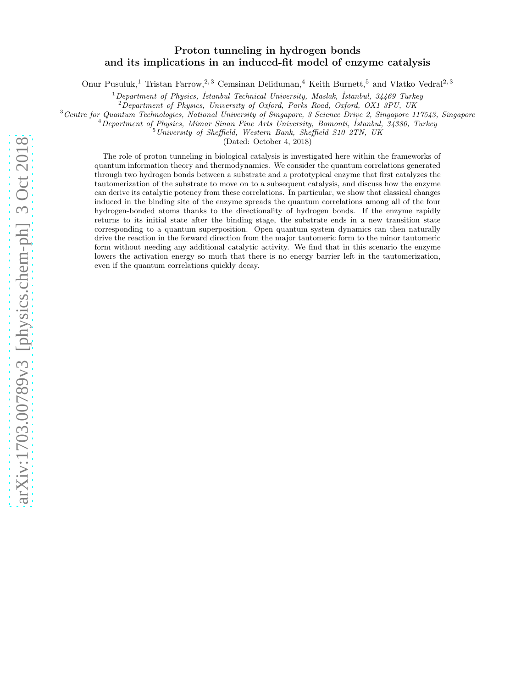# Proton tunneling in hydrogen bonds and its implications in an induced-fit model of enzyme catalysis

Onur Pusuluk,<sup>1</sup> Tristan Farrow,<sup>2, 3</sup> Cemsinan Deliduman,<sup>4</sup> Keith Burnett,<sup>5</sup> and Vlatko Vedral<sup>2, 3</sup>

 $1$ Department of Physics, İstanbul Technical University, Maslak, İstanbul, 34469 Turkey

 $2\,\overline{\text{D}}$ epartment of Physics, University of Oxford, Parks Road, Oxford, OX1 3PU, UK

 $3$  Centre for Quantum Technologies, National University of Singapore, 3 Science Drive 2, Singapore 117543, Singapore

<sup>4</sup>Department of Physics, Mimar Sinan Fine Arts University, Bomonti, Istanbul, 34380, Turkey

 $5$ University of Sheffield, Western Bank, Sheffield S10 2TN, UK

(Dated: October 4, 2018)

The role of proton tunneling in biological catalysis is investigated here within the frameworks of quantum information theory and thermodynamics. We consider the quantum correlations generated through two hydrogen bonds between a substrate and a prototypical enzyme that first catalyzes the tautomerization of the substrate to move on to a subsequent catalysis, and discuss how the enzyme can derive its catalytic potency from these correlations. In particular, we show that classical changes induced in the binding site of the enzyme spreads the quantum correlations among all of the four hydrogen-bonded atoms thanks to the directionality of hydrogen bonds. If the enzyme rapidly returns to its initial state after the binding stage, the substrate ends in a new transition state corresponding to a quantum superposition. Open quantum system dynamics can then naturally drive the reaction in the forward direction from the major tautomeric form to the minor tautomeric form without needing any additional catalytic activity. We find that in this scenario the enzyme lowers the activation energy so much that there is no energy barrier left in the tautomerization, even if the quantum correlations quickly decay.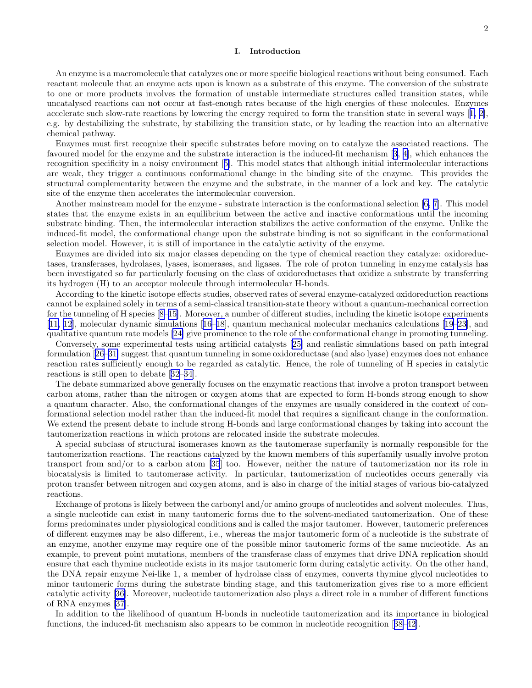# I. Introduction

An enzyme is a macromolecule that catalyzes one or more specific biological reactions without being consumed. Each reactant molecule that an enzyme acts upon is known as a substrate of this enzyme. The conversion of the substrate to one or more products involves the formation of unstable intermediate structures called transition states, while uncatalysed reactions can not occur at fast-enough rates because of the high energies of these molecules. Enzymes accelerate such slow-rate reactions by lowering the energy required to form the transition state in several ways[[1, 2\]](#page-13-0), e.g. by destabilizing the substrate, by stabilizing the transition state, or by leading the reaction into an alternative chemical pathway.

Enzymes must first recognize their specific substrates before moving on to catalyze the associated reactions. The favoured model for the enzyme and the substrate interaction is the induced-fit mechanism[[3, 4\]](#page-13-0), which enhances the recognition specificity in a noisy environment[[5\]](#page-13-0). This model states that although initial intermolecular interactions are weak, they trigger a continuous conformational change in the binding site of the enzyme. This provides the structural complementarity between the enzyme and the substrate, in the manner of a lock and key. The catalytic site of the enzyme then accelerates the intermolecular conversion.

Another mainstream model for the enzyme - substrate interaction is the conformational selection [\[6](#page-13-0), [7\]](#page-13-0). This model states that the enzyme exists in an equilibrium between the active and inactive conformations until the incoming substrate binding. Then, the intermolecular interaction stabilizes the active conformation of the enzyme. Unlike the induced-fit model, the conformational change upon the substrate binding is not so significant in the conformational selection model. However, it is still of importance in the catalytic activity of the enzyme.

Enzymes are divided into six major classes depending on the type of chemical reaction they catalyze: oxidoreductases, transferases, hydrolases, lyases, isomerases, and ligases. The role of proton tunneling in enzyme catalysis has been investigated so far particularly focusing on the class of oxidoreductases that oxidize a substrate by transferring its hydrogen (H) to an acceptor molecule through intermolecular H-bonds.

According to the kinetic isotope effects studies, observed rates of several enzyme-catalyzed oxidoreduction reactions cannot be explained solely in terms of a semi-classical transition-state theory without a quantum-mechanical correction forthe tunneling of H species  $[8-15]$ . Moreover, a number of different studies, including the kinetic isotope experiments [[11, 12](#page-13-0)], molecular dynamic simulations[[16–18\]](#page-13-0), quantum mechanical molecular mechanics calculations[[19–23\]](#page-13-0), and qualitative quantum rate models [\[24\]](#page-13-0) give prominence to the role of the conformational change in promoting tunneling.

Conversely, some experimental tests using artificial catalysts[[25\]](#page-13-0) and realistic simulations based on path integral formulation[[26–31\]](#page-14-0) suggest that quantum tunneling in some oxidoreductase (and also lyase) enzymes does not enhance reaction rates sufficiently enough to be regarded as catalytic. Hence, the role of tunneling of H species in catalytic reactions is still open to debate[[32–34\]](#page-14-0).

The debate summarized above generally focuses on the enzymatic reactions that involve a proton transport between carbon atoms, rather than the nitrogen or oxygen atoms that are expected to form H-bonds strong enough to show a quantum character. Also, the conformational changes of the enzymes are usually considered in the context of conformational selection model rather than the induced-fit model that requires a significant change in the conformation. We extend the present debate to include strong H-bonds and large conformational changes by taking into account the tautomerization reactions in which protons are relocated inside the substrate molecules.

A special subclass of structural isomerases known as the tautomerase superfamily is normally responsible for the tautomerization reactions. The reactions catalyzed by the known members of this superfamily usually involve proton transport from and/or to a carbon atom [\[35](#page-14-0)] too. However, neither the nature of tautomerization nor its role in biocatalysis is limited to tautomerase activity. In particular, tautomerization of nucleotides occurs generally via proton transfer between nitrogen and oxygen atoms, and is also in charge of the initial stages of various bio-catalyzed reactions.

Exchange of protons is likely between the carbonyl and/or amino groups of nucleotides and solvent molecules. Thus, a single nucleotide can exist in many tautomeric forms due to the solvent-mediated tautomerization. One of these forms predominates under physiological conditions and is called the major tautomer. However, tautomeric preferences of different enzymes may be also different, i.e., whereas the major tautomeric form of a nucleotide is the substrate of an enzyme, another enzyme may require one of the possible minor tautomeric forms of the same nucleotide. As an example, to prevent point mutations, members of the transferase class of enzymes that drive DNA replication should ensure that each thymine nucleotide exists in its major tautomeric form during catalytic activity. On the other hand, the DNA repair enzyme Nei-like 1, a member of hydrolase class of enzymes, converts thymine glycol nucleotides to minor tautomeric forms during the substrate binding stage, and this tautomerization gives rise to a more efficient catalytic activity[[36\]](#page-14-0). Moreover, nucleotide tautomerization also plays a direct role in a number of different functions of RNA enzymes [\[37](#page-14-0)].

In addition to the likelihood of quantum H-bonds in nucleotide tautomerization and its importance in biological functions, the induced-fit mechanism also appears to be common in nucleotide recognition[[38–42\]](#page-14-0).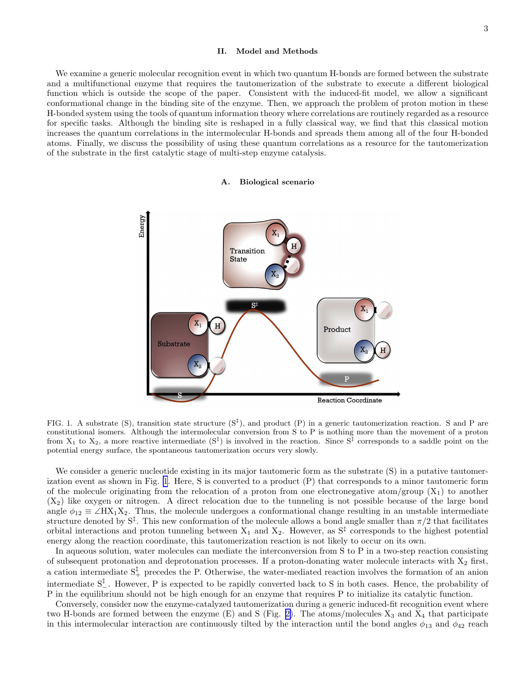#### II. Model and Methods

<span id="page-2-0"></span>We examine a generic molecular recognition event in which two quantum H-bonds are formed between the substrate and a multifunctional enzyme that requires the tautomerization of the substrate to execute a different biological function which is outside the scope of the paper. Consistent with the induced-fit model, we allow a significant conformational change in the binding site of the enzyme. Then, we approach the problem of proton motion in these H-bonded system using the tools of quantum information theory where correlations are routinely regarded as a resource for specific tasks. Although the binding site is reshaped in a fully classical way, we find that this classical motion increases the quantum correlations in the intermolecular H-bonds and spreads them among all of the four H-bonded atoms. Finally, we discuss the possibility of using these quantum correlations as a resource for the tautomerization of the substrate in the first catalytic stage of multi-step enzyme catalysis.

#### A. Biological scenario



FIG. 1. A substrate (S), transition state structure  $(S^{\dagger})$ , and product  $(P)$  in a generic tautomerization reaction. S and P are constitutional isomers. Although the intermolecular conversion from S to P is nothing more than the movement of a proton from  $X_1$  to  $X_2$ , a more reactive intermediate  $(S^{\ddagger})$  is involved in the reaction. Since  $S^{\ddagger}$  corresponds to a saddle point on the potential energy surface, the spontaneous tautomerization occurs very slowly.

We consider a generic nucleotide existing in its major tautomeric form as the substrate  $(S)$  in a putative tautomerization event as shown in Fig. 1. Here, S is converted to a product (P) that corresponds to a minor tautomeric form of the molecule originating from the relocation of a proton from one electronegative atom/group  $(X_1)$  to another  $(X_2)$  like oxygen or nitrogen. A direct relocation due to the tunneling is not possible because of the large bond angle  $\phi_{12} \equiv \angle H X_1 X_2$ . Thus, the molecule undergoes a conformational change resulting in an unstable intermediate structure denoted by  $S^{\ddagger}$ . This new conformation of the molecule allows a bond angle smaller than  $\pi/2$  that facilitates orbital interactions and proton tunneling between  $X_1$  and  $X_2$ . However, as  $S^{\ddagger}$  corresponds to the highest potential energy along the reaction coordinate, this tautomerization reaction is not likely to occur on its own.

In aqueous solution, water molecules can mediate the interconversion from S to P in a two-step reaction consisting of subsequent protonation and deprotonation processes. If a proton-donating water molecule interacts with  $X_2$  first, a cation intermediate  $S^{\ddagger}_{+}$  precedes the P. Otherwise, the water-mediated reaction involves the formation of an anion intermediate  $S^{\ddagger}_{-}$ . However, P is expected to be rapidly converted back to S in both cases. Hence, the probability of P in the equilibrium should not be high enough for an enzyme that requires P to initialize its catalytic function.

Conversely, consider now the enzyme-catalyzed tautomerization during a generic induced-fit recognition event where two H-bonds are formed between the enzyme  $(E)$  and S (Fig. [2\)](#page-3-0). The atoms/molecules  $X_3$  and  $X_4$  that participate in this intermolecular interaction are continuously tilted by the interaction until the bond angles  $\phi_{13}$  and  $\phi_{42}$  reach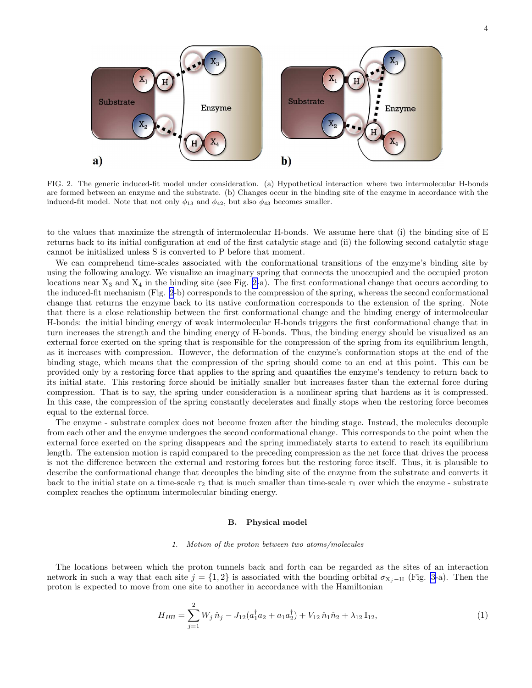<span id="page-3-0"></span>

FIG. 2. The generic induced-fit model under consideration. (a) Hypothetical interaction where two intermolecular H-bonds are formed between an enzyme and the substrate. (b) Changes occur in the binding site of the enzyme in accordance with the induced-fit model. Note that not only  $\phi_{13}$  and  $\phi_{42}$ , but also  $\phi_{43}$  becomes smaller.

to the values that maximize the strength of intermolecular H-bonds. We assume here that (i) the binding site of E returns back to its initial configuration at end of the first catalytic stage and (ii) the following second catalytic stage cannot be initialized unless S is converted to P before that moment.

We can comprehend time-scales associated with the conformational transitions of the enzyme's binding site by using the following analogy. We visualize an imaginary spring that connects the unoccupied and the occupied proton locations near  $X_3$  and  $X_4$  in the binding site (see Fig. 2-a). The first conformational change that occurs according to the induced-fit mechanism (Fig. 2-b) corresponds to the compression of the spring, whereas the second conformational change that returns the enzyme back to its native conformation corresponds to the extension of the spring. Note that there is a close relationship between the first conformational change and the binding energy of intermolecular H-bonds: the initial binding energy of weak intermolecular H-bonds triggers the first conformational change that in turn increases the strength and the binding energy of H-bonds. Thus, the binding energy should be visualized as an external force exerted on the spring that is responsible for the compression of the spring from its equilibrium length, as it increases with compression. However, the deformation of the enzyme's conformation stops at the end of the binding stage, which means that the compression of the spring should come to an end at this point. This can be provided only by a restoring force that applies to the spring and quantifies the enzyme's tendency to return back to its initial state. This restoring force should be initially smaller but increases faster than the external force during compression. That is to say, the spring under consideration is a nonlinear spring that hardens as it is compressed. In this case, the compression of the spring constantly decelerates and finally stops when the restoring force becomes equal to the external force.

The enzyme - substrate complex does not become frozen after the binding stage. Instead, the molecules decouple from each other and the enzyme undergoes the second conformational change. This corresponds to the point when the external force exerted on the spring disappears and the spring immediately starts to extend to reach its equilibrium length. The extension motion is rapid compared to the preceding compression as the net force that drives the process is not the difference between the external and restoring forces but the restoring force itself. Thus, it is plausible to describe the conformational change that decouples the binding site of the enzyme from the substrate and converts it back to the initial state on a time-scale  $\tau_2$  that is much smaller than time-scale  $\tau_1$  over which the enzyme - substrate complex reaches the optimum intermolecular binding energy.

# B. Physical model

# 1. Motion of the proton between two atoms/molecules

The locations between which the proton tunnels back and forth can be regarded as the sites of an interaction network in such a way that each site  $j = \{1, 2\}$  is associated with the bonding orbital  $\sigma_{X_i-H}$  (Fig. [3](#page-4-0)-a). Then the proton is expected to move from one site to another in accordance with the Hamiltonian

$$
H_{HB} = \sum_{j=1}^{2} W_j \,\hat{n}_j - J_{12}(a_1^{\dagger} a_2 + a_1 a_2^{\dagger}) + V_{12} \,\hat{n}_1 \hat{n}_2 + \lambda_{12} \,\mathbb{I}_{12},\tag{1}
$$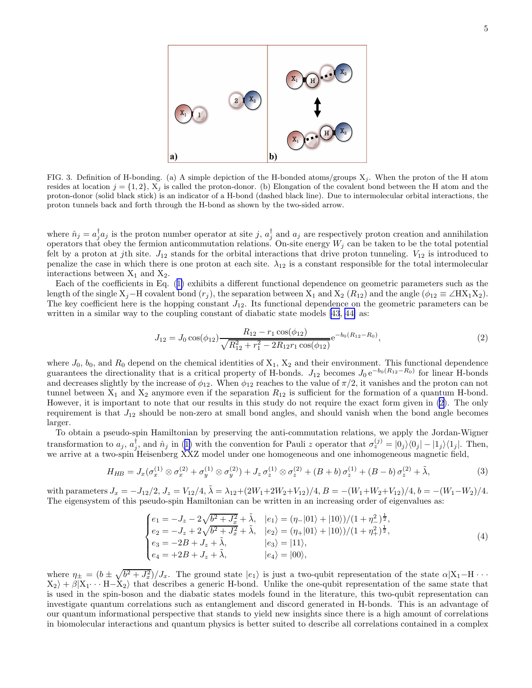<span id="page-4-0"></span>

FIG. 3. Definition of H-bonding. (a) A simple depiction of the H-bonded atoms/groups  $X_j$ . When the proton of the H atom resides at location  $j = \{1, 2\}$ ,  $X_j$  is called the proton-donor. (b) Elongation of the covalent bond between the H atom and the proton-donor (solid black stick) is an indicator of a H-bond (dashed black line). Due to intermolecular orbital interactions, the proton tunnels back and forth through the H-bond as shown by the two-sided arrow.

where  $\hat{n}_j = a_j^{\dagger} a_j$  is the proton number operator at site j,  $a_j^{\dagger}$  and  $a_j$  are respectively proton creation and annihilation operators that obey the fermion anticommutation relations. On-site energy  $W_j$  can be taken to be the total potential felt by a proton at jth site.  $J_{12}$  stands for the orbital interactions that drive proton tunneling.  $V_{12}$  is introduced to penalize the case in which there is one proton at each site.  $\lambda_{12}$  is a constant responsible for the total intermolecular interactions between  $X_1$  and  $X_2$ .

Each of the coefficients in Eq.([1\)](#page-3-0) exhibits a different functional dependence on geometric parameters such as the length of the single  $X_j$ –H covalent bond  $(r_j)$ , the separation between  $X_1$  and  $X_2$   $(R_{12})$  and the angle  $(\phi_{12} \equiv \angle H X_1 X_2)$ . The key coefficient here is the hopping constant  $J_{12}$ . Its functional dependence on the geometric parameters can be written in a similar way to the coupling constant of diabatic state models [\[43](#page-14-0), [44\]](#page-14-0) as:

$$
J_{12} = J_0 \cos(\phi_{12}) \frac{R_{12} - r_1 \cos(\phi_{12})}{\sqrt{R_{12}^2 + r_1^2 - 2R_{12}r_1 \cos(\phi_{12})}} e^{-b_0(R_{12} - R_0)}, \tag{2}
$$

where  $J_0$ ,  $b_0$ , and  $R_0$  depend on the chemical identities of  $X_1$ ,  $X_2$  and their environment. This functional dependence guarantees the directionality that is a critical property of H-bonds.  $J_{12}$  becomes  $J_0 e^{-b_0(R_{12}-R_0)}$  for linear H-bonds and decreases slightly by the increase of  $\phi_{12}$ . When  $\phi_{12}$  reaches to the value of  $\pi/2$ , it vanishes and the proton can not tunnel between  $X_1$  and  $X_2$  anymore even if the separation  $R_{12}$  is sufficient for the formation of a quantum H-bond. However, it is important to note that our results in this study do not require the exact form given in (2). The only requirement is that  $J_{12}$  should be non-zero at small bond angles, and should vanish when the bond angle becomes larger.

To obtain a pseudo-spin Hamiltonian by preserving the anti-commutation relations, we apply the Jordan-Wigner transformationto  $a_j$ ,  $a_j^{\dagger}$ , and  $\hat{n}_j$  in ([1\)](#page-3-0) with the convention for Pauli z operator that  $\sigma_z^{(j)} = |0_j\rangle\langle0_j| - |1_j\rangle\langle1_j|$ . Then, we arrive at a two-spin Heisenberg XXZ model under one homogeneous and one inhomogeneous magnetic field,

$$
H_{HB} = J_x(\sigma_x^{(1)} \otimes \sigma_x^{(2)} + \sigma_y^{(1)} \otimes \sigma_y^{(2)}) + J_z \sigma_z^{(1)} \otimes \sigma_z^{(2)} + (B+b) \sigma_z^{(1)} + (B-b) \sigma_z^{(2)} + \tilde{\lambda}, \tag{3}
$$

with parameters  $J_x = -J_{12}/2$ ,  $J_z = V_{12}/4$ ,  $\tilde{\lambda} = \lambda_{12}+(2W_1+2W_2+V_{12})/4$ ,  $B = -(W_1+W_2+V_{12})/4$ ,  $b = -(W_1-W_2)/4$ . The eigensystem of this pseudo-spin Hamiltonian can be written in an increasing order of eigenvalues as:

$$
\begin{cases}\ne_1 = -J_z - 2\sqrt{b^2 + J_x^2} + \tilde{\lambda}, & |e_1\rangle = (\eta_-|01\rangle + |10\rangle)/(1 + \eta_-^2)^{\frac{1}{2}}, \\
e_2 = -J_z + 2\sqrt{b^2 + J_x^2} + \tilde{\lambda}, & |e_2\rangle = (\eta_+|01\rangle + |10\rangle)/(1 + \eta_+^2)^{\frac{1}{2}}, \\
e_3 = -2B + J_z + \tilde{\lambda}, & |e_3\rangle = |11\rangle, \\
e_4 = +2B + J_z + \tilde{\lambda}, & |e_4\rangle = |00\rangle,\n\end{cases}\n\tag{4}
$$

where  $\eta_{\pm} = (b \pm \sqrt{b^2 + J_x^2})/J_x$ . The ground state  $|e_1\rangle$  is just a two-qubit representation of the state  $\alpha |X_1 - H \cdots$  $X_2$  +  $\beta |X_1 \cdots H-X_2\rangle$  that describes a generic H-bond. Unlike the one-qubit representation of the same state that is used in the spin-boson and the diabatic states models found in the literature, this two-qubit representation can investigate quantum correlations such as entanglement and discord generated in H-bonds. This is an advantage of our quantum informational perspective that stands to yield new insights since there is a high amount of correlations in biomolecular interactions and quantum physics is better suited to describe all correlations contained in a complex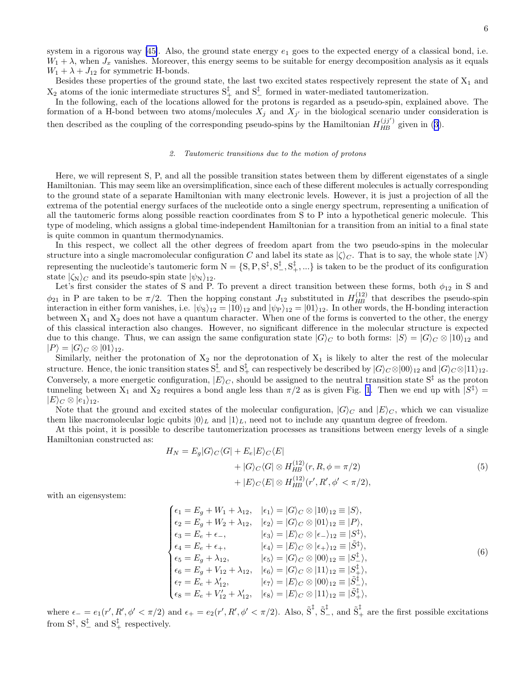<span id="page-5-0"></span>system in a rigorous way [\[45\]](#page-14-0). Also, the ground state energy  $e_1$  goes to the expected energy of a classical bond, i.e.  $W_1 + \lambda$ , when  $J_x$  vanishes. Moreover, this energy seems to be suitable for energy decomposition analysis as it equals  $W_1 + \lambda + J_{12}$  for symmetric H-bonds.

Besides these properties of the ground state, the last two excited states respectively represent the state of  $X_1$  and  $X_2$  atoms of the ionic intermediate structures  $S^{\ddagger}_+$  and  $S^{\ddagger}_-$  formed in water-mediated tautomerization.

In the following, each of the locations allowed for the protons is regarded as a pseudo-spin, explained above. The formation of a H-bond between two atoms/molecules  $X_j$  and  $X_{j'}$  in the biological scenario under consideration is thendescribed as the coupling of the corresponding pseudo-spins by the Hamiltonian  $H_{HB}^{(jj')}$  given in ([3\)](#page-4-0).

# 2. Tautomeric transitions due to the motion of protons

Here, we will represent S, P, and all the possible transition states between them by different eigenstates of a single Hamiltonian. This may seem like an oversimplification, since each of these different molecules is actually corresponding to the ground state of a separate Hamiltonian with many electronic levels. However, it is just a projection of all the extrema of the potential energy surfaces of the nucleotide onto a single energy spectrum, representing a unification of all the tautomeric forms along possible reaction coordinates from S to P into a hypothetical generic molecule. This type of modeling, which assigns a global time-independent Hamiltonian for a transition from an initial to a final state is quite common in quantum thermodynamics.

In this respect, we collect all the other degrees of freedom apart from the two pseudo-spins in the molecular structure into a single macromolecular configuration C and label its state as  $|\zeta\rangle_c$ . That is to say, the whole state  $|N\rangle$ representing the nucleotide's tautomeric form  $N = \{S, P, S^{\ddagger}, S^{\ddagger}_-, S^{\ddagger}_+, ...\}$  is taken to be the product of its configuration state  $|\zeta_N\rangle_C$  and its pseudo-spin state  $|\psi_N\rangle_{12}$ .

Let's first consider the states of S and P. To prevent a direct transition between these forms, both  $\phi_{12}$  in S and  $\phi_{21}$  in P are taken to be  $\pi/2$ . Then the hopping constant  $J_{12}$  substituted in  $H_{HB}^{(12)}$  that describes the pseudo-spin interaction in either form vanishes, i.e.  $|\psi_{S}\rangle_{12} = |10\rangle_{12}$  and  $|\psi_{P}\rangle_{12} = |01\rangle_{12}$ . In other words, the H-bonding interaction between  $X_1$  and  $X_2$  does not have a quantum character. When one of the forms is converted to the other, the energy of this classical interaction also changes. However, no significant difference in the molecular structure is expected due to this change. Thus, we can assign the same configuration state  $|G\rangle_C$  to both forms:  $|S\rangle = |G\rangle_C \otimes |10\rangle_{12}$  and  $|P\rangle = |G\rangle_C \otimes |01\rangle_{12}.$ 

Similarly, neither the protonation of  $X_2$  nor the deprotonation of  $X_1$  is likely to alter the rest of the molecular structure. Hence, the ionic transition states  $S^{\ddagger}_{-}$  and  $S^{\ddagger}_{+}$  can respectively be described by  $|G\rangle_C \otimes |00\rangle_{12}$  and  $|G\rangle_C \otimes |11\rangle_{12}$ . Conversely, a more energetic configuration,  $|E\rangle_C$ , should be assigned to the neutral transition state  $S^{\ddagger}$  as the proton tunneling between  $X_1$  and  $X_2$  requires a bond angle less than  $\pi/2$  as is given Fig. [1](#page-2-0). Then we end up with  $|S^{\ddagger}\rangle =$  $|E\rangle_C \otimes |e_1\rangle_{12}.$ 

Note that the ground and excited states of the molecular configuration,  $|G\rangle_C$  and  $|E\rangle_C$ , which we can visualize them like macromolecular logic qubits  $|0\rangle_L$  and  $|1\rangle_L$ , need not to include any quantum degree of freedom.

At this point, it is possible to describe tautomerization processes as transitions between energy levels of a single Hamiltonian constructed as:

$$
H_N = E_g|G\rangle_C\langle G| + E_e|E\rangle_C\langle E|
$$
  
+  $|G\rangle_C\langle G| \otimes H_{HB}^{(12)}(r, R, \phi = \pi/2)$   
+  $|E\rangle_C\langle E| \otimes H_{HB}^{(12)}(r', R', \phi' < \pi/2),$  (5)

with an eigensystem:

$$
\begin{cases}\n\epsilon_1 = E_g + W_1 + \lambda_{12}, & |\epsilon_1\rangle = |G\rangle_C \otimes |10\rangle_{12} \equiv |S\rangle, \\
\epsilon_2 = E_g + W_2 + \lambda_{12}, & |\epsilon_2\rangle = |G\rangle_C \otimes |01\rangle_{12} \equiv |P\rangle, \\
\epsilon_3 = E_e + \epsilon_-, & |\epsilon_3\rangle = |E\rangle_C \otimes |\epsilon_-\rangle_{12} \equiv |S^{\ddagger}\rangle, \\
\epsilon_4 = E_e + \epsilon_+, & |\epsilon_4\rangle = |E\rangle_C \otimes |\epsilon_+\rangle_{12} \equiv |\tilde{S}^{\ddagger}\rangle, \\
\epsilon_5 = E_g + \lambda_{12}, & |\epsilon_5\rangle = |G\rangle_C \otimes |00\rangle_{12} \equiv |S^{\ddagger}_-\rangle, \\
\epsilon_6 = E_g + V_{12} + \lambda_{12}, & |\epsilon_6\rangle = |G\rangle_C \otimes |11\rangle_{12} \equiv |S^{\ddagger}_+\rangle, \\
\epsilon_7 = E_e + \lambda'_{12}, & |\epsilon_7\rangle = |E\rangle_C \otimes |00\rangle_{12} \equiv |\tilde{S}^{\ddagger}_-\rangle, \\
\epsilon_8 = E_e + V'_{12} + \lambda'_{12}, & |\epsilon_8\rangle = |E\rangle_C \otimes |11\rangle_{12} \equiv |\tilde{S}^{\ddagger}_+\rangle, \\
\end{cases}
$$
\n(6)

where  $\epsilon_{-} = e_1(r', R', \phi' < \pi/2)$  and  $\epsilon_{+} = e_2(r', R', \phi' < \pi/2)$ . Also,  $\tilde{S}^{\ddagger}$ ,  $\tilde{S}^{\ddagger}_{-}$ , and  $\tilde{S}^{\ddagger}_{+}$  are the first possible excitations from  $S^{\ddagger}$ ,  $S^{\ddagger}_{-}$  and  $S^{\ddagger}_{+}$  respectively.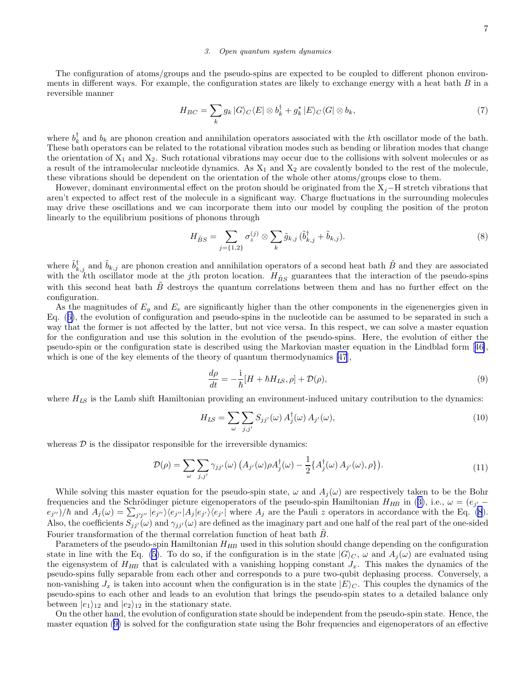# 3. Open quantum system dynamics

<span id="page-6-0"></span>The configuration of atoms/groups and the pseudo-spins are expected to be coupled to different phonon environments in different ways. For example, the configuration states are likely to exchange energy with a heat bath  $B$  in a reversible manner

$$
H_{BC} = \sum_{k} g_k \left| G \right\rangle_C \left\langle E \right| \otimes b_k^{\dagger} + g_k^* \left| E \right\rangle_C \left\langle G \right| \otimes b_k,\tag{7}
$$

where  $b_k^{\dagger}$  and  $b_k$  are phonon creation and annihilation operators associated with the kth oscillator mode of the bath. These bath operators can be related to the rotational vibration modes such as bending or libration modes that change the orientation of  $X_1$  and  $X_2$ . Such rotational vibrations may occur due to the collisions with solvent molecules or as a result of the intramolecular nucleotide dynamics. As  $X_1$  and  $X_2$  are covalently bonded to the rest of the molecule, these vibrations should be dependent on the orientation of the whole other atoms/groups close to them.

However, dominant environmental effect on the proton should be originated from the  $X_i$ –H stretch vibrations that aren't expected to affect rest of the molecule in a significant way. Charge fluctuations in the surrounding molecules may drive these oscillations and we can incorporate them into our model by coupling the position of the proton linearly to the equilibrium positions of phonons through

$$
H_{\tilde{B}S} = \sum_{j=\{1,2\}} \sigma_z^{(j)} \otimes \sum_k \tilde{g}_{k,j} \left(\tilde{b}_{k,j}^\dagger + \tilde{b}_{k,j}\right). \tag{8}
$$

where  $\tilde{b}^{\dagger}_{k,j}$  and  $\tilde{b}_{k,j}$  are phonon creation and annihilation operators of a second heat bath  $\tilde{B}$  and they are associated with the kth oscillator mode at the jth proton location.  $H_{\tilde{B}S}$  guarantees that the interaction of the pseudo-spins with this second heat bath  $\tilde{B}$  destroys the quantum correlations between them and has no further effect on the configuration.

As the magnitudes of  $E_q$  and  $E_e$  are significantly higher than the other components in the eigenenergies given in Eq.([6\)](#page-5-0), the evolution of configuration and pseudo-spins in the nucleotide can be assumed to be separated in such a way that the former is not affected by the latter, but not vice versa. In this respect, we can solve a master equation for the configuration and use this solution in the evolution of the pseudo-spins. Here, the evolution of either the pseudo-spin or the configuration state is described using the Markovian master equation in the Lindblad form[[46\]](#page-14-0), which is one of the key elements of the theory of quantum thermodynamics [\[47](#page-14-0)],

$$
\frac{d\rho}{dt} = -\frac{i}{\hbar}[H + \hbar H_{LS}, \rho] + \mathcal{D}(\rho),\tag{9}
$$

where  $H_{LS}$  is the Lamb shift Hamiltonian providing an environment-induced unitary contribution to the dynamics:

$$
H_{LS} = \sum_{\omega} \sum_{j,j'} S_{jj'}(\omega) A_j^{\dagger}(\omega) A_{j'}(\omega), \qquad (10)
$$

whereas  $D$  is the dissipator responsible for the irreversible dynamics:

$$
\mathcal{D}(\rho) = \sum_{\omega} \sum_{j,j'} \gamma_{jj'}(\omega) \left( A_{j'}(\omega) \rho A_j^{\dagger}(\omega) - \frac{1}{2} \{ A_j^{\dagger}(\omega) A_{j'}(\omega), \rho \} \right). \tag{11}
$$

While solving this master equation for the pseudo-spin state,  $\omega$  and  $A_i(\omega)$  are respectively taken to be the Bohr frequenciesand the Schrödinger picture eigenoperators of the pseudo-spin Hamiltonian  $H_{HB}$  in ([3\)](#page-4-0), i.e.,  $\omega = (e_{j'}$  $e_{j''}/\hbar$  and  $A_j(\omega) = \sum_{j'j''} |e_{j''}\rangle\langle e_{j''}|A_j|e_{j'}\rangle\langle e_{j'}|$  where  $A_j$  are the Pauli z operators in accordance with the Eq. (8). Also, the coefficients  $S_{jj'}(\omega)$  and  $\gamma_{jj'}(\omega)$  are defined as the imaginary part and one half of the real part of the one-sided Fourier transformation of the thermal correlation function of heat bath  $\ddot{B}$ .

Parameters of the pseudo-spin Hamiltonian  $H_{HB}$  used in this solution should change depending on the configuration statein line with the Eq. ([5\)](#page-5-0). To do so, if the configuration is in the state  $|G\rangle_C$ ,  $\omega$  and  $A_i(\omega)$  are evaluated using the eigensystem of  $H_{HB}$  that is calculated with a vanishing hopping constant  $J_x$ . This makes the dynamics of the pseudo-spins fully separable from each other and corresponds to a pure two-qubit dephasing process. Conversely, a non-vanishing  $J_x$  is taken into account when the configuration is in the state  $|E\rangle_C$ . This couples the dynamics of the pseudo-spins to each other and leads to an evolution that brings the pseudo-spin states to a detailed balance only between  $|e_1\rangle_{12}$  and  $|e_2\rangle_{12}$  in the stationary state.

On the other hand, the evolution of configuration state should be independent from the pseudo-spin state. Hence, the master equation (9) is solved for the configuration state using the Bohr frequencies and eigenoperators of an effective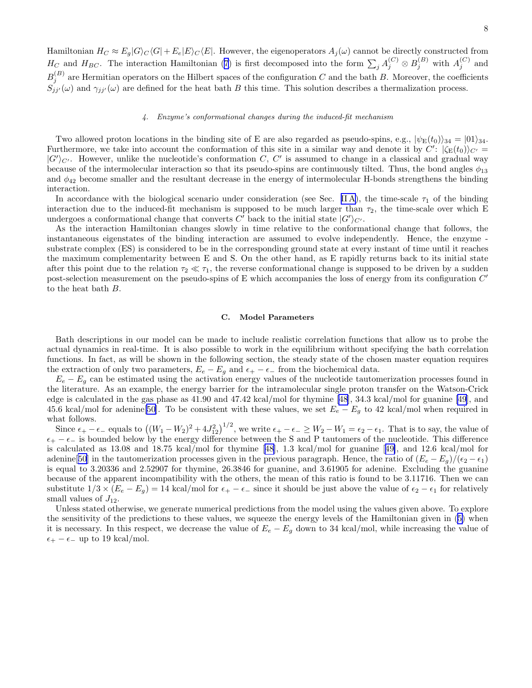<span id="page-7-0"></span>Hamiltonian  $H_C \approx E_g|G\rangle_C\langle G| + E_e|E\rangle_C\langle E|$ . However, the eigenoperators  $A_j(\omega)$  cannot be directly constructed from  $H_C$  and  $H_{BC}$ . The interaction Hamiltonian [\(7](#page-6-0)) is first decomposed into the form  $\sum_j A_j^{(C)} \otimes B_j^{(B)}$  with  $A_j^{(C)}$  and  $B_j^{(B)}$  are Hermitian operators on the Hilbert spaces of the configuration C and the bath B. Moreover, the coefficients  $S_{jj'}(\omega)$  and  $\gamma_{jj'}(\omega)$  are defined for the heat bath B this time. This solution describes a thermalization process.

# 4. Enzyme's conformational changes during the induced-fit mechanism

Two allowed proton locations in the binding site of E are also regarded as pseudo-spins, e.g.,  $|\psi_{\rm E}(t_0)\rangle_{34} = |01\rangle_{34}$ . Furthermore, we take into account the conformation of this site in a similar way and denote it by  $C'$ :  $|\zeta_{\mathcal{E}}(t_0)\rangle_{C'} =$  $\langle G'\rangle_{C'}$ . However, unlike the nucleotide's conformation C, C' is assumed to change in a classical and gradual way because of the intermolecular interaction so that its pseudo-spins are continuously tilted. Thus, the bond angles  $\phi_{13}$ and  $\phi_{42}$  become smaller and the resultant decrease in the energy of intermolecular H-bonds strengthens the binding interaction.

In accordance with the biological scenario under consideration (see Sec. IIA), the time-scale  $\tau_1$  of the binding interaction due to the induced-fit mechanism is supposed to be much larger than  $\tau_2$ , the time-scale over which E undergoes a conformational change that converts  $C'$  back to the initial state  $|G'\rangle_{C'}$ .

As the interaction Hamiltonian changes slowly in time relative to the conformational change that follows, the instantaneous eigenstates of the binding interaction are assumed to evolve independently. Hence, the enzyme substrate complex (ES) is considered to be in the corresponding ground state at every instant of time until it reaches the maximum complementarity between E and S. On the other hand, as E rapidly returns back to its initial state after this point due to the relation  $\tau_2 \ll \tau_1$ , the reverse conformational change is supposed to be driven by a sudden post-selection measurement on the pseudo-spins of E which accompanies the loss of energy from its configuration  $C'$ to the heat bath B.

#### C. Model Parameters

Bath descriptions in our model can be made to include realistic correlation functions that allow us to probe the actual dynamics in real-time. It is also possible to work in the equilibrium without specifying the bath correlation functions. In fact, as will be shown in the following section, the steady state of the chosen master equation requires the extraction of only two parameters,  $E_e - E_g$  and  $\epsilon_+ - \epsilon_-$  from the biochemical data.

 $E_e - E_q$  can be estimated using the activation energy values of the nucleotide tautomerization processes found in the literature. As an example, the energy barrier for the intramolecular single proton transfer on the Watson-Crick edge is calculated in the gas phase as 41.90 and 47.42 kcal/mol for thymine [\[48](#page-14-0)], 34.3 kcal/mol for guanine [\[49](#page-14-0)], and 45.6 kcal/mol for adenine[\[50](#page-14-0)]. To be consistent with these values, we set  $E_e - E_g$  to 42 kcal/mol when required in what follows.

Since  $\epsilon_+ - \epsilon_-$  equals to  $((W_1 - W_2)^2 + 4J_{12}^2)^{1/2}$ , we write  $\epsilon_+ - \epsilon_- \ge W_2 - W_1 = \epsilon_2 - \epsilon_1$ . That is to say, the value of  $\epsilon_+ - \epsilon_-$  is bounded below by the energy difference between the S and P tautomers of the nucleotide. This difference is calculated as 13.08 and 18.75 kcal/mol for thymine [\[48](#page-14-0)], 1.3 kcal/mol for guanine[[49\]](#page-14-0), and 12.6 kcal/mol for adenine[[50\]](#page-14-0) in the tautomerization processes given in the previous paragraph. Hence, the ratio of  $(E_e - E_q)/(\epsilon_2 - \epsilon_1)$ is equal to 3.20336 and 2.52907 for thymine, 26.3846 for guanine, and 3.61905 for adenine. Excluding the guanine because of the apparent incompatibility with the others, the mean of this ratio is found to be 3.11716. Then we can substitute  $1/3 \times (E_e - E_g) = 14$  kcal/mol for  $\epsilon_+ - \epsilon_-$  since it should be just above the value of  $\epsilon_2 - \epsilon_1$  for relatively small values of  $J_{12}$ .

Unless stated otherwise, we generate numerical predictions from the model using the values given above. To explore the sensitivity of the predictions to these values, we squeeze the energy levels of the Hamiltonian given in([5\)](#page-5-0) when it is necessary. In this respect, we decrease the value of  $E_e - E_g$  down to 34 kcal/mol, while increasing the value of  $\epsilon_+ - \epsilon_-$  up to 19 kcal/mol.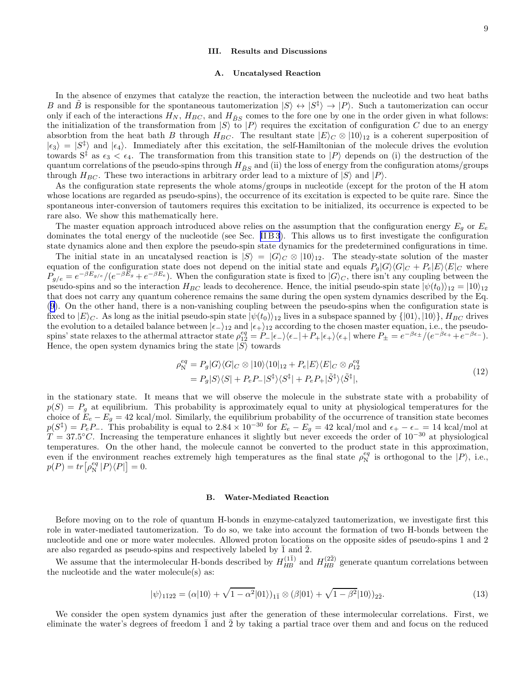# III. Results and Discussions

# A. Uncatalysed Reaction

In the absence of enzymes that catalyze the reaction, the interaction between the nucleotide and two heat baths B and  $\tilde{B}$  is responsible for the spontaneous tautomerization  $|S\rangle \leftrightarrow |S^{\ddagger}\rangle \rightarrow |P\rangle$ . Such a tautomerization can occur only if each of the interactions  $H_N$ ,  $H_{BC}$ , and  $H_{\tilde{B}S}$  comes to the fore one by one in the order given in what follows: the initialization of the transformation from  $|S\rangle$  to  $|P\rangle$  requires the excitation of configuration C due to an energy absorbtion from the heat bath B through  $H_{BC}$ . The resultant state  $|E\rangle_C \otimes |10\rangle_{12}$  is a coherent superposition of  $|\epsilon_3\rangle = |S^{\dagger}\rangle$  and  $|\epsilon_4\rangle$ . Immediately after this excitation, the self-Hamiltonian of the molecule drives the evolution towards  $S^{\ddagger}$  as  $\epsilon_3 < \epsilon_4$ . The transformation from this transition state to  $|P\rangle$  depends on (i) the destruction of the quantum correlations of the pseudo-spins through  $H_{\tilde{B}S}$  and (ii) the loss of energy from the configuration atoms/groups through  $H_{BC}$ . These two interactions in arbitrary order lead to a mixture of  $|S\rangle$  and  $|P\rangle$ .

As the configuration state represents the whole atoms/groups in nucleotide (except for the proton of the H atom whose locations are regarded as pseudo-spins), the occurrence of its excitation is expected to be quite rare. Since the spontaneous inter-conversion of tautomers requires this excitation to be initialized, its occurrence is expected to be rare also. We show this mathematically here.

The master equation approach introduced above relies on the assumption that the configuration energy  $E_g$  or  $E_e$ dominates the total energy of the nucleotide (see Sec. IIB3). This allows us to first investigate the configuration state dynamics alone and then explore the pseudo-spin state dynamics for the predetermined configurations in time.

The initial state in an uncatalysed reaction is  $|S\rangle = |G\rangle_C \otimes |10\rangle_{12}$ . The steady-state solution of the master equation of the configuration state does not depend on the initial state and equals  $P_g|G\rangle\langle G|_C + P_e|E\rangle\langle E|_C$  where  $P_{g/e} = e^{-\beta E_{g/e}}/(e^{-\beta E_g} + e^{-\beta E_e})$ . When the configuration state is fixed to  $|G\rangle_C$ , there isn't any coupling between the pseudo-spins and so the interaction  $H_{BC}$  leads to decoherence. Hence, the initial pseudo-spin state  $|\psi(t_0)\rangle_{12} = |10\rangle_{12}$ that does not carry any quantum coherence remains the same during the open system dynamics described by the Eq. ([9\)](#page-6-0). On the other hand, there is a non-vanishing coupling between the pseudo-spins when the configuration state is fixed to  $|E\rangle_C$ . As long as the initial pseudo-spin state  $|\psi(t_0)\rangle_{12}$  lives in a subspace spanned by  $\{|01\rangle, |10\rangle\}$ ,  $H_{BC}$  drives the evolution to a detailed balance between  $|\epsilon_-\rangle_{12}$  and  $|\epsilon_+\rangle_{12}$  according to the chosen master equation, i.e., the pseudospins' state relaxes to the athermal attractor state  $\rho_{12}^{eq} = P_-|\epsilon_-\rangle\langle\epsilon_-|+P_+|\epsilon_+\rangle\langle\epsilon_+|$  where  $P_\pm = e^{-\beta\epsilon_\pm}/(e^{-\beta\epsilon_+}+e^{-\beta\epsilon_-}).$ Hence, the open system dynamics bring the state  $|S\rangle$  towards

$$
\rho_{\rm N}^{eq} = P_g |G\rangle\langle G|_C \otimes |10\rangle\langle 10|_{12} + P_e |E\rangle\langle E|_C \otimes \rho_{12}^{eq}
$$
  
=  $P_g |S\rangle\langle S| + P_e P_- |S^{\dagger}\rangle\langle S^{\dagger}| + P_e P_+ |S^{\dagger}\rangle\langle \tilde{S}^{\dagger}|,$  (12)

in the stationary state. It means that we will observe the molecule in the substrate state with a probability of  $p(S) = P<sub>g</sub>$  at equilibrium. This probability is approximately equal to unity at physiological temperatures for the choice of  $E_e - E_g = 42 \text{ kcal/mol}$ . Similarly, the equilibrium probability of the occurrence of transition state becomes  $p(S^{\dagger}) = P_e P_{\dagger}$ . This probability is equal to 2.84 × 10<sup>-30</sup> for  $E_e - E_g = 42$  kcal/mol and  $\epsilon_{+} - \epsilon_{-} = 14$  kcal/mol at  $T = 37.5^{\circ}C$ . Increasing the temperature enhances it slightly but never exceeds the order of  $10^{-30}$  at physiological temperatures. On the other hand, the molecule cannot be converted to the product state in this approximation, even if the environment reaches extremely high temperatures as the final state  $\rho_N^{eq}$  is orthogonal to the  $|P\rangle$ , i.e.,  $p(P) = tr \left[ \rho_N^{eq} |P \rangle \langle P| \right] = 0.$ 

# B. Water-Mediated Reaction

Before moving on to the role of quantum H-bonds in enzyme-catalyzed tautomerization, we investigate first this role in water-mediated tautomerization. To do so, we take into account the formation of two H-bonds between the nucleotide and one or more water molecules. Allowed proton locations on the opposite sides of pseudo-spins 1 and 2 are also regarded as pseudo-spins and respectively labeled by  $\overline{1}$  and  $\overline{2}$ .

We assume that the intermolecular H-bonds described by  $H_{HB}^{(1\bar{1})}$  and  $H_{HB}^{(2\bar{2})}$  generate quantum correlations between the nucleotide and the water molecule(s) as:

$$
|\psi\rangle_{1\bar{1}2\bar{2}} = (\alpha|10\rangle + \sqrt{1-\alpha^2}|01\rangle)_{1\bar{1}} \otimes (\beta|01\rangle + \sqrt{1-\beta^2}|10\rangle)_{2\bar{2}}.
$$
\n(13)

We consider the open system dynamics just after the generation of these intermolecular correlations. First, we eliminate the water's degrees of freedom 1 and 2 by taking a partial trace over them and and focus on the reduced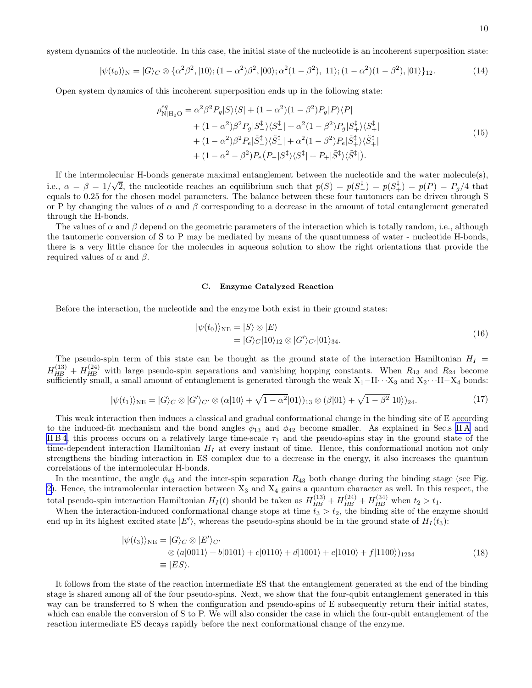system dynamics of the nucleotide. In this case, the initial state of the nucleotide is an incoherent superposition state:

$$
|\psi(t_0)\rangle_N = |G\rangle_C \otimes {\alpha^2 \beta^2, |10\rangle; (1 - \alpha^2)\beta^2, |00\rangle; \alpha^2 (1 - \beta^2), |11\rangle; (1 - \alpha^2)(1 - \beta^2), |01\rangle }_{12}.
$$
 (14)

Open system dynamics of this incoherent superposition ends up in the following state:

$$
\rho_{N|H_2O}^{eq} = \alpha^2 \beta^2 P_g |S\rangle\langle S| + (1 - \alpha^2)(1 - \beta^2) P_g |P\rangle\langle P| + (1 - \alpha^2) \beta^2 P_g |S_{-}^{\dagger}\rangle\langle S_{-}^{\dagger}| + \alpha^2 (1 - \beta^2) P_g |S_{+}^{\dagger}\rangle\langle S_{+}^{\dagger}| + (1 - \alpha^2) \beta^2 P_e |S_{-}^{\dagger}\rangle\langle \tilde{S}_{-}^{\dagger}| + \alpha^2 (1 - \beta^2) P_e |S_{+}^{\dagger}\rangle\langle \tilde{S}_{+}^{\dagger}| + (1 - \alpha^2 - \beta^2) P_e (P_{-} |S^{\dagger}\rangle\langle S^{\dagger}| + P_{+} |S^{\dagger}\rangle\langle \tilde{S}_{+}^{\dagger}|).
$$
\n(15)

If the intermolecular H-bonds generate maximal entanglement between the nucleotide and the water molecule(s), i.e.,  $\alpha = \beta = 1/\sqrt{2}$ , the nucleotide reaches an equilibrium such that  $p(S) = p(S_{-}^{\dagger}) = p(S_{+}^{\dagger}) = p(P) = P_g/4$  that equals to 0.25 for the chosen model parameters. The balance between these four tautomers can be driven through S or P by changing the values of  $\alpha$  and  $\beta$  corresponding to a decrease in the amount of total entanglement generated through the H-bonds.

The values of  $\alpha$  and  $\beta$  depend on the geometric parameters of the interaction which is totally random, i.e., although the tautomeric conversion of S to P may be mediated by means of the quantumness of water - nucleotide H-bonds, there is a very little chance for the molecules in aqueous solution to show the right orientations that provide the required values of  $\alpha$  and  $\beta$ .

# C. Enzyme Catalyzed Reaction

Before the interaction, the nucleotide and the enzyme both exist in their ground states:

$$
|\psi(t_0)\rangle_{\text{NE}} = |S\rangle \otimes |E\rangle
$$
  
=  $|G\rangle_C |10\rangle_{12} \otimes |G'\rangle_{C'} |01\rangle_{34}.$  (16)

The pseudo-spin term of this state can be thought as the ground state of the interaction Hamiltonian  $H_I$  =  $H_{HB}^{(13)} + H_{HB}^{(24)}$  with large pseudo-spin separations and vanishing hopping constants. When  $R_{13}$  and  $R_{24}$  become sufficiently small, a small amount of entanglement is generated through the weak  $X_1-H\cdots X_3$  and  $X_2\cdots H-X_4$  bonds:

$$
|\psi(t_1)\rangle_{\text{NE}} = |G\rangle_C \otimes |G'\rangle_{C'} \otimes (\alpha|10\rangle + \sqrt{1-\alpha^2}|01\rangle)_{13} \otimes (\beta|01\rangle + \sqrt{1-\beta^2}|10\rangle)_{24}.\tag{17}
$$

This weak interaction then induces a classical and gradual conformational change in the binding site of E according to the induced-fit mechanism and the bond angles  $\phi_{13}$  and  $\phi_{42}$  become smaller. As explained in Sec.s IIA and IIB4, this process occurs on a relatively large time-scale  $\tau_1$  and the pseudo-spins stay in the ground state of the time-dependent interaction Hamiltonian  $H_I$  at every instant of time. Hence, this conformational motion not only strengthens the binding interaction in ES complex due to a decrease in the energy, it also increases the quantum correlations of the intermolecular H-bonds.

In the meantime, the angle  $\phi_{43}$  and the inter-spin separation  $R_{43}$  both change during the binding stage (see Fig. [2](#page-3-0)). Hence, the intramolecular interaction between  $X_3$  and  $X_4$  gains a quantum character as well. In this respect, the total pseudo-spin interaction Hamiltonian  $H_I(t)$  should be taken as  $H_{HB}^{(13)} + H_{HB}^{(24)} + H_{HB}^{(34)}$  when  $t_2 > t_1$ .

When the interaction-induced conformational change stops at time  $t_3 > t_2$ , the binding site of the enzyme should end up in its highest excited state  $|E'\rangle$ , whereas the pseudo-spins should be in the ground state of  $H_I(t_3)$ :

$$
|\psi(t_3)\rangle_{\text{NE}} = |G\rangle_C \otimes |E'\rangle_{C'}
$$
  
\n
$$
\otimes (a|0011\rangle + b|0101\rangle + c|0110\rangle + d|1001\rangle + e|1010\rangle + f|1100\rangle)_{1234}
$$
  
\n
$$
\equiv |ES\rangle.
$$
 (18)

It follows from the state of the reaction intermediate ES that the entanglement generated at the end of the binding stage is shared among all of the four pseudo-spins. Next, we show that the four-qubit entanglement generated in this way can be transferred to S when the configuration and pseudo-spins of E subsequently return their initial states, which can enable the conversion of S to P. We will also consider the case in which the four-qubit entanglement of the reaction intermediate ES decays rapidly before the next conformational change of the enzyme.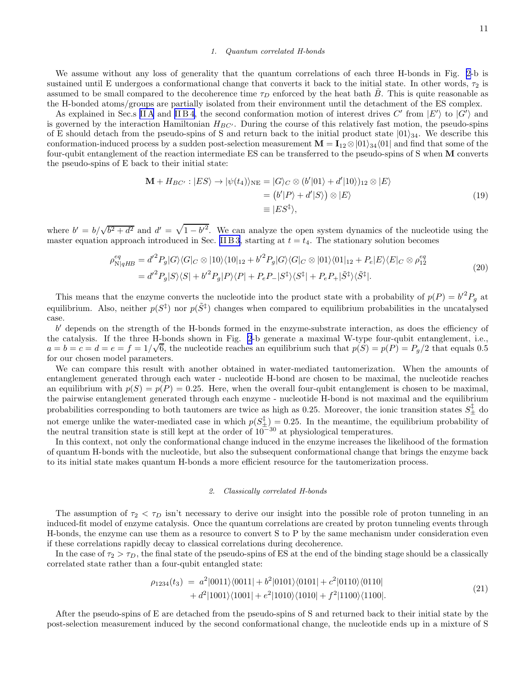# 1. Quantum correlated H-bonds

<span id="page-10-0"></span>We assume without any loss of generality that the quantum correlations of each three H-bonds in Fig. [2](#page-3-0)-b is sustained until E undergoes a conformational change that converts it back to the initial state. In other words,  $\tau_2$  is assumed to be small compared to the decoherence time  $\tau_D$  enforced by the heat bath B. This is quite reasonable as the H-bonded atoms/groups are partially isolated from their environment until the detachment of the ES complex.

As explained in Sec.s IIA and IIB 4, the second conformation motion of interest drives  $C'$  from  $|E'\rangle$  to  $|G'\rangle$  and is governed by the interaction Hamiltonian  $H_{BC'}$ . During the course of this relatively fast motion, the pseudo-spins of E should detach from the pseudo-spins of S and return back to the initial product state  $|01\rangle_{34}$ . We describe this conformation-induced process by a sudden post-selection measurement  $\mathbf{M} = \mathbf{I}_{12} \otimes |01\rangle_{34}\langle 01|$  and find that some of the four-qubit entanglement of the reaction intermediate ES can be transferred to the pseudo-spins of S when M converts the pseudo-spins of E back to their initial state:

$$
\mathbf{M} + H_{BC'} : |ES\rangle \to |\psi(t_4)\rangle_{NE} = |G\rangle_C \otimes (b'|01\rangle + d'|10\rangle)_{12} \otimes |E\rangle
$$
  
=  $(b'|P\rangle + d'|S\rangle) \otimes |E\rangle$   
=  $|ES^{\ddagger}\rangle,$  (19)

where  $b' = b/\sqrt{b^2 + d^2}$  and  $d' = \sqrt{1 - b'^2}$ . We can analyze the open system dynamics of the nucleotide using the master equation approach introduced in Sec. [II B 3](#page-5-0), starting at  $t = t_4$ . The stationary solution becomes

$$
\rho_{\mathcal{N}|qHB}^{eq} = d'^{2} P_{g} |G\rangle\langle G|_{C} \otimes |10\rangle\langle 10|_{12} + b'^{2} P_{g} |G\rangle\langle G|_{C} \otimes |01\rangle\langle 01|_{12} + P_{e} |E\rangle\langle E|_{C} \otimes \rho_{12}^{eq}
$$
  
= 
$$
d'^{2} P_{g} |S\rangle\langle S| + b'^{2} P_{g} |P\rangle\langle P| + P_{e} P_{-} |S^{\ddagger}\rangle\langle S^{\ddagger}| + P_{e} P_{+} |S^{\ddagger}\rangle\langle \tilde{S}^{\ddagger}|.
$$
 (20)

This means that the enzyme converts the nucleotide into the product state with a probability of  $p(P) = b^2 P_g$  at equilibrium. Also, neither  $p(S^{\ddagger})$  nor  $p(\tilde{S}^{\ddagger})$  changes when compared to equilibrium probabilities in the uncatalysed case.

b ′ depends on the strength of the H-bonds formed in the enzyme-substrate interaction, as does the efficiency of the catalysis. If the three H-bonds shown in Fig. [2](#page-3-0)-b generate a maximal W-type four-qubit entanglement, i.e.,  $a = b = c = d = e = f = 1/\sqrt{6}$ , the nucleotide reaches an equilibrium such that  $p(S) = p(P) = P_g/2$  that equals 0.5 for our chosen model parameters.

We can compare this result with another obtained in water-mediated tautomerization. When the amounts of entanglement generated through each water - nucleotide H-bond are chosen to be maximal, the nucleotide reaches an equilibrium with  $p(S) = p(P) = 0.25$ . Here, when the overall four-qubit entanglement is chosen to be maximal, the pairwise entanglement generated through each enzyme - nucleotide H-bond is not maximal and the equilibrium probabilities corresponding to both tautomers are twice as high as 0.25. Moreover, the ionic transition states  $S^{\ddagger}_{\pm}$  do not emerge unlike the water-mediated case in which  $p(S_{\pm}) = 0.25$ . In the meantime, the equilibrium probability of the neutral transition state is still kept at the order of  $10^{-30}$  at physiological temperatures.

In this context, not only the conformational change induced in the enzyme increases the likelihood of the formation of quantum H-bonds with the nucleotide, but also the subsequent conformational change that brings the enzyme back to its initial state makes quantum H-bonds a more efficient resource for the tautomerization process.

# 2. Classically correlated H-bonds

The assumption of  $\tau_2 < \tau_D$  isn't necessary to derive our insight into the possible role of proton tunneling in an induced-fit model of enzyme catalysis. Once the quantum correlations are created by proton tunneling events through H-bonds, the enzyme can use them as a resource to convert S to P by the same mechanism under consideration even if these correlations rapidly decay to classical correlations during decoherence.

In the case of  $\tau_2 > \tau_D$ , the final state of the pseudo-spins of ES at the end of the binding stage should be a classically correlated state rather than a four-qubit entangled state:

$$
\rho_{1234}(t_3) = a^2|0011\rangle\langle0011| + b^2|0101\rangle\langle0101| + c^2|0110\rangle\langle0110| + d^2|1001\rangle\langle1001| + e^2|1010\rangle\langle1010| + f^2|1100\rangle\langle1100|.
$$
\n(21)

After the pseudo-spins of E are detached from the pseudo-spins of S and returned back to their initial state by the post-selection measurement induced by the second conformational change, the nucleotide ends up in a mixture of S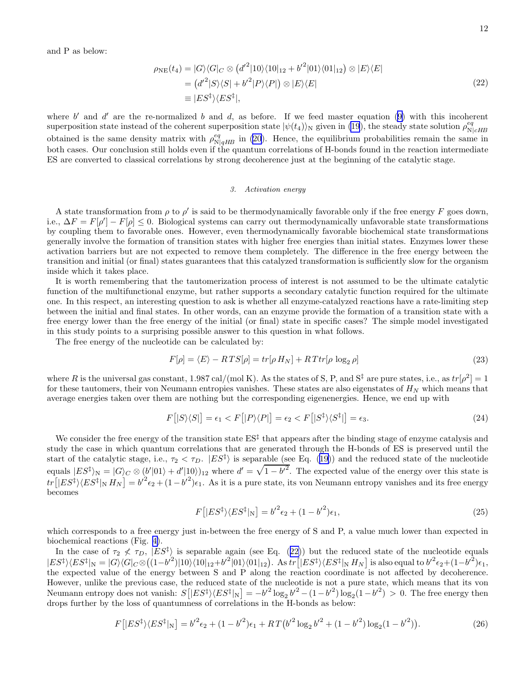and P as below:

$$
\rho_{NE}(t_4) = |G\rangle\langle G|_C \otimes (d'^2|10\rangle\langle 10|_{12} + {b'}^2|01\rangle\langle 01|_{12}) \otimes |E\rangle\langle E|
$$
  
= 
$$
(d'^2|S\rangle\langle S| + {b'}^2|P\rangle\langle P|) \otimes |E\rangle\langle E|
$$
  
\equiv 
$$
|ES^{\dagger}\rangle\langle ES^{\dagger}|,
$$
 (22)

where $b'$  and  $d'$  are the re-normalized b and d, as before. If we feed master equation ([9\)](#page-6-0) with this incoherent superposition state instead of the coherent superposition state  $|\psi(t_4)\rangle_N$  given in [\(19](#page-10-0)), the steady state solution  $\rho_N^{eq}$  $\mathrm{N}|cH\!B$ obtained is the same density matrix with  $\rho_{N|qHB}^{eq}$  in [\(20](#page-10-0)). Hence, the equilibrium probabilities remain the same in both cases. Our conclusion still holds even if the quantum correlations of H-bonds found in the reaction intermediate ES are converted to classical correlations by strong decoherence just at the beginning of the catalytic stage.

# 3. Activation energy

A state transformation from  $\rho$  to  $\rho'$  is said to be thermodynamically favorable only if the free energy F goes down, i.e.,  $\Delta F = F[\rho'] - F[\rho] \leq 0$ . Biological systems can carry out thermodynamically unfavorable state transformations by coupling them to favorable ones. However, even thermodynamically favorable biochemical state transformations generally involve the formation of transition states with higher free energies than initial states. Enzymes lower these activation barriers but are not expected to remove them completely. The difference in the free energy between the transition and initial (or final) states guarantees that this catalyzed transformation is sufficiently slow for the organism inside which it takes place.

It is worth remembering that the tautomerization process of interest is not assumed to be the ultimate catalytic function of the multifunctional enzyme, but rather supports a secondary catalytic function required for the ultimate one. In this respect, an interesting question to ask is whether all enzyme-catalyzed reactions have a rate-limiting step between the initial and final states. In other words, can an enzyme provide the formation of a transition state with a free energy lower than the free energy of the initial (or final) state in specific cases? The simple model investigated in this study points to a surprising possible answer to this question in what follows.

The free energy of the nucleotide can be calculated by:

$$
F[\rho] = \langle E \rangle - RTS[\rho] = tr[\rho H_N] + RTtr[\rho \log_2 \rho]
$$
\n(23)

where R is the universal gas constant, 1.987 cal/(mol K). As the states of S, P, and S<sup>‡</sup> are pure states, i.e., as  $tr[\rho^2] = 1$ for these tautomers, their von Neumann entropies vanishes. These states are also eigenstates of  $H_N$  which means that average energies taken over them are nothing but the corresponding eigenenergies. Hence, we end up with

$$
F\left[|S\rangle\langle S|\right] = \epsilon_1 < F\left[|P\rangle\langle P|\right] = \epsilon_2 < F\left[|S^\ddagger\rangle\langle S^\ddagger|\right] = \epsilon_3. \tag{24}
$$

We consider the free energy of the transition state  $ES^{\ddagger}$  that appears after the binding stage of enzyme catalysis and study the case in which quantum correlations that are generated through the H-bonds of ES is preserved until the startof the catalytic stage, i.e.,  $\tau_2 < \tau_D$ .  $|ES^{\ddagger}\rangle$  is separable (see Eq. ([19](#page-10-0))) and the reduced state of the nucleotide equals  $|ES^{\ddagger}\rangle_{\mathcal{N}} = |G\rangle_{C} \otimes (b'|01\rangle + d'|10\rangle)_{12}$  where  $d' = \sqrt{1-b'^{2}}$ . The expected value of the energy over this state is  $tr\left[|ES^{\ddagger}\rangle\langle ES^{\ddagger}|_N H_N\right] = b'^2\epsilon_2 + (1-b'^2)\epsilon_1$ . As it is a pure state, its von Neumann entropy vanishes and its free energy becomes

$$
F\left[|ES^{\ddagger}\rangle\langle ES^{\ddagger}|_{\rm N}\right] = b^{\prime 2}\epsilon_2 + (1 - {b^{\prime}}^2)\epsilon_1,\tag{25}
$$

which corresponds to a free energy just in-between the free energy of S and P, a value much lower than expected in biochemical reactions (Fig. [4\)](#page-12-0).

In the case of  $\tau_2 \nless \tau_D$ ,  $|ES^{\dagger}\rangle$  is separable again (see Eq. (22)) but the reduced state of the nucleotide equals  $|ES^{\ddagger}\rangle\langle ES^{\ddagger}|_N=|G\rangle\langle G|_C\otimes((1-b^{\prime2})|10\rangle\langle 10|_{12}+b^{\prime2}|01\rangle\langle 01|_{12}).$  As tr  $[|ES^{\ddagger}\rangle\langle ES^{\ddagger}|_N H_N]$  is also equal to  $b^{\prime2}\epsilon_2+(1-b^{\prime2})\epsilon_1$ , the expected value of the energy between S and P along the reaction coordinate is not affected by decoherence. However, unlike the previous case, the reduced state of the nucleotide is not a pure state, which means that its von Neumann entropy does not vanish:  $S[|ES^{\ddagger}\rangle\langle ES^{\ddagger}|_{N}] = -b'^{2} \log_{2} b'^{2} - (1-b'^{2}) \log_{2} (1-b'^{2}) > 0$ . The free energy then drops further by the loss of quantumness of correlations in the H-bonds as below:

$$
F\left[|ES^{\ddagger}\rangle\langle ES^{\ddagger}|_{\rm N}\right] = b'^2\epsilon_2 + (1 - {b'}^2)\epsilon_1 + RT(b'^2\log_2{b'}^2 + (1 - {b'}^2)\log_2(1 - {b'}^2)).\tag{26}
$$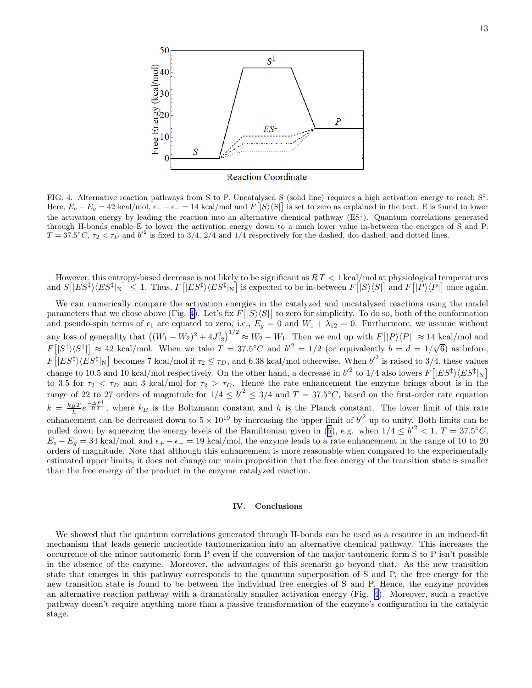<span id="page-12-0"></span>

FIG. 4. Alternative reaction pathways from S to P. Uncatalysed S (solid line) requires a high activation energy to reach  $S^{\ddagger}$ . Here,  $E_e - E_g = 42 \text{ kcal/mol}, \epsilon_+ - \epsilon_- = 14 \text{ kcal/mol}$  and  $F[|S\rangle\langle S|]$  is set to zero as explained in the text. E is found to lower the activation energy by leading the reaction into an alternative chemical pathway  $(ES^{\ddagger})$ . Quantum correlations generated through H-bonds enable E to lower the activation energy down to a much lower value in-between the energies of S and P.  $T = 37.5^{\circ}C$ ,  $\tau_2 < \tau_D$  and  $b'^2$  is fixed to 3/4, 2/4 and 1/4 respectively for the dashed, dot-dashed, and dotted lines.

However, this entropy-based decrease is not likely to be significant as  $RT < 1$  kcal/mol at physiological temperatures and  $S[|ES^{\ddagger}\rangle\langle ES^{\ddagger}|_{N}] \leq 1$ . Thus,  $F[|ES^{\ddagger}\rangle\langle ES^{\ddagger}|_{N}]$  is expected to be in-between  $F[|S\rangle\langle S|]$  and  $F[|P\rangle\langle P|]$  once again.

We can numerically compare the activation energies in the catalyzed and uncatalysed reactions using the model parameters that we chose above (Fig. 4). Let's fix  $F[|S\rangle\langle S|]$  to zero for simplicity. To do so, both of the conformation and pseudo-spin terms of  $\epsilon_1$  are equated to zero, i.e.,  $E_g = 0$  and  $W_1 + \lambda_{12} = 0$ . Furthermore, we assume without any loss of generality that  $((W_1 - W_2)^2 + 4J_{12}^2)^{1/2} \approx W_2 - W_1$ . Then we end up with  $F[[P \setminus \langle P]] \approx 14 \text{ kcal/mol}$  and  $F\left[\left|S^{\ddagger}\right\rangle\left\langle S^{\ddagger}\right|\right] \approx 42$  kcal/mol. When we take  $T = 37.5^{\circ}C$  and  $b'^2 = 1/2$  (or equivalently  $b = d = 1/\sqrt{6}$ ) as before,  $F[|ES^{\ddagger}\rangle\langle ES^{\ddagger}|_{\rm N}]$  becomes 7 kcal/mol if  $\tau_2 \leq \tau_D$ , and 6.38 kcal/mol otherwise. When  $b'^2$  is raised to 3/4, these values change to 10.5 and 10 kcal/mol respectively. On the other hand, a decrease in  $b'^2$  to 1/4 also lowers  $F[|ES^{\ddagger}\rangle\langle ES^{\ddagger}|_{\rm N}]$ |N to 3.5 for  $\tau_2 < \tau_D$  and 3 kcal/mol for  $\tau_2 > \tau_D$ . Hence the rate enhancement the enzyme brings about is in the range of 22 to 27 orders of magnitude for  $1/4 \leq b'^2 \leq 3/4$  and  $T = 37.5$ °C, based on the first-order rate equation  $k = \frac{k_B T}{h} e^{-\frac{\Delta F^{\ddagger}}{RT}}$ , where  $k_B$  is the Boltzmann constant and h is the Planck constant. The lower limit of this rate enhancement can be decreased down to  $5 \times 10^{19}$  by increasing the upper limit of  $b'^2$  up to unity. Both limits can be pulleddown by squeezing the energy levels of the Hamiltonian given in ([5\)](#page-5-0), e.g. when  $1/4 \le b'^2 < 1$ ,  $T = 37.5^{\circ}C$ ,  $E_e - E_g = 34$  kcal/mol, and  $\epsilon_+ - \epsilon_- = 19$  kcal/mol, the enzyme leads to a rate enhancement in the range of 10 to 20 orders of magnitude. Note that although this enhancement is more reasonable when compared to the experimentally estimated upper limits, it does not change our main proposition that the free energy of the transition state is smaller than the free energy of the product in the enzyme catalyzed reaction.

# IV. Conclusions

We showed that the quantum correlations generated through H-bonds can be used as a resource in an induced-fit mechanism that leads generic nucleotide tautomerization into an alternative chemical pathway. This increases the occurrence of the minor tautomeric form P even if the conversion of the major tautomeric form S to P isn't possible in the absence of the enzyme. Moreover, the advantages of this scenario go beyond that. As the new transition state that emerges in this pathway corresponds to the quantum superposition of S and P, the free energy for the new transition state is found to be between the individual free energies of S and P. Hence, the enzyme provides an alternative reaction pathway with a dramatically smaller activation energy (Fig. 4). Moreover, such a reactive pathway doesn't require anything more than a passive transformation of the enzyme's configuration in the catalytic stage.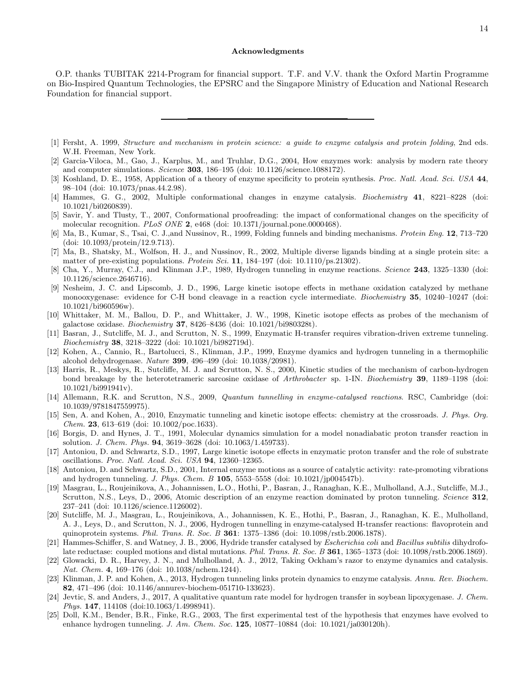# Acknowledgments

<span id="page-13-0"></span>O.P. thanks TUBITAK 2214-Program for financial support. T.F. and V.V. thank the Oxford Martin Programme on Bio-Inspired Quantum Technologies, the EPSRC and the Singapore Ministry of Education and National Research Foundation for financial support.

- [1] Fersht, A. 1999, Structure and mechanism in protein science: a guide to enzyme catalysis and protein folding, 2nd eds. W.H. Freeman, New York.
- [2] Garcia-Viloca, M., Gao, J., Karplus, M., and Truhlar, D.G., 2004, How enzymes work: analysis by modern rate theory and computer simulations. Science 303, 186–195 (doi: 10.1126/science.1088172).
- [3] Koshland, D. E., 1958, Application of a theory of enzyme specificity to protein synthesis. Proc. Natl. Acad. Sci. USA 44, 98–104 (doi: 10.1073/pnas.44.2.98).
- [4] Hammes, G. G., 2002, Multiple conformational changes in enzyme catalysis. Biochemistry 41, 8221–8228 (doi: 10.1021/bi0260839).
- [5] Savir, Y. and Tlusty, T., 2007, Conformational proofreading: the impact of conformational changes on the specificity of molecular recognition. PLoS ONE 2, e468 (doi: 10.1371/journal.pone.0000468).
- [6] Ma, B., Kumar, S., Tsai, C. J.,and Nussinov, R., 1999, Folding funnels and binding mechanisms. Protein Eng. 12, 713–720 (doi: 10.1093/protein/12.9.713).
- [7] Ma, B., Shatsky, M., Wolfson, H. J., and Nussinov, R., 2002, Multiple diverse ligands binding at a single protein site: a matter of pre-existing populations. Protein Sci. 11,  $184-197$  (doi:  $10.1110/\text{ps}.21302$ ).
- [8] Cha, Y., Murray, C.J., and Klinman J.P., 1989, Hydrogen tunneling in enzyme reactions. Science 243, 1325–1330 (doi: 10.1126/science.2646716).
- [9] Nesheim, J. C. and Lipscomb, J. D., 1996, Large kinetic isotope effects in methane oxidation catalyzed by methane monooxygenase: evidence for C-H bond cleavage in a reaction cycle intermediate. *Biochemistry* 35, 10240–10247 (doi: 10.1021/bi960596w).
- [10] Whittaker, M. M., Ballou, D. P., and Whittaker, J. W., 1998, Kinetic isotope effects as probes of the mechanism of galactose oxidase. *Biochemistry* 37, 8426-8436 (doi: 10.1021/bi980328t).
- [11] Basran, J., Sutcliffe, M. J., and Scrutton, N. S., 1999, Enzymatic H-transfer requires vibration-driven extreme tunneling. Biochemistry 38, 3218–3222 (doi: 10.1021/bi982719d).
- [12] Kohen, A., Cannio, R., Bartolucci, S., Klinman, J.P., 1999, Enzyme dyamics and hydrogen tunneling in a thermophilic alcohol dehydrogenase. Nature 399, 496–499 (doi: 10.1038/20981).
- [13] Harris, R., Meskys, R., Sutcliffe, M. J. and Scrutton, N. S., 2000, Kinetic studies of the mechanism of carbon-hydrogen bond breakage by the heterotetrameric sarcosine oxidase of Arthrobacter sp. 1-IN. Biochemistry 39, 1189–1198 (doi: 10.1021/bi991941v).
- [14] Allemann, R.K. and Scrutton, N.S., 2009, *Quantum tunnelling in enzyme-catalysed reactions.* RSC, Cambridge (doi: 10.1039/9781847559975).
- [15] Sen, A. and Kohen, A., 2010, Enzymatic tunneling and kinetic isotope effects: chemistry at the crossroads. J. Phys. Org. Chem. 23, 613–619 (doi: 10.1002/poc.1633).
- [16] Borgis, D. and Hynes, J. T., 1991, Molecular dynamics simulation for a model nonadiabatic proton transfer reaction in solution. J. Chem. Phys. 94, 3619–3628 (doi: 10.1063/1.459733).
- [17] Antoniou, D. and Schwartz, S.D., 1997, Large kinetic isotope effects in enzymatic proton transfer and the role of substrate oscillations. Proc. Natl. Acad. Sci. USA 94, 12360–12365.
- [18] Antoniou, D. and Schwartz, S.D., 2001, Internal enzyme motions as a source of catalytic activity: rate-promoting vibrations and hydrogen tunneling. *J. Phys. Chem. B* 105, 5553-5558 (doi:  $10.1021/ip004547b$ ).
- [19] Masgrau, L., Roujeinikova, A., Johannissen, L.O., Hothi, P., Basran, J., Ranaghan, K.E., Mulholland, A.J., Sutcliffe, M.J., Scrutton, N.S., Leys, D., 2006, Atomic description of an enzyme reaction dominated by proton tunneling. Science 312, 237–241 (doi: 10.1126/science.1126002).
- [20] Sutcliffe, M. J., Masgrau, L., Roujeinikova, A., Johannissen, K. E., Hothi, P., Basran, J., Ranaghan, K. E., Mulholland, A. J., Leys, D., and Scrutton, N. J., 2006, Hydrogen tunnelling in enzyme-catalysed H-transfer reactions: flavoprotein and quinoprotein systems. Phil. Trans. R. Soc. B 361: 1375–1386 (doi: 10.1098/rstb.2006.1878).
- [21] Hammes-Schiffer, S. and Watney, J. B., 2006, Hydride transfer catalysed by Escherichia coli and Bacillus subtilis dihydrofolate reductase: coupled motions and distal mutations. Phil. Trans. R. Soc. B 361, 1365–1373 (doi: 10.1098/rstb.2006.1869).
- [22] Glowacki, D. R., Harvey, J. N., and Mulholland, A. J., 2012, Taking Ockham's razor to enzyme dynamics and catalysis. Nat. Chem. 4, 169–176 (doi: 10.1038/nchem.1244).
- [23] Klinman, J. P. and Kohen, A., 2013, Hydrogen tunneling links protein dynamics to enzyme catalysis. Annu. Rev. Biochem. 82, 471–496 (doi: 10.1146/annurev-biochem-051710-133623).
- [24] Jevtic, S. and Anders, J., 2017, A qualitative quantum rate model for hydrogen transfer in soybean lipoxygenase. J. Chem. Phys. 147, 114108 (doi:10.1063/1.4998941).
- [25] Doll, K.M., Bender, B.R., Finke, R.G., 2003, The first experimental test of the hypothesis that enzymes have evolved to enhance hydrogen tunneling. J. Am. Chem. Soc. 125, 10877–10884 (doi: 10.1021/ja030120h).